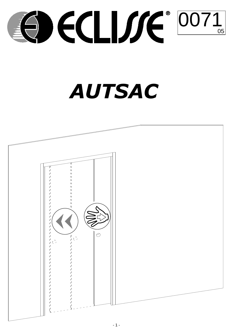

# **AUTSAC**

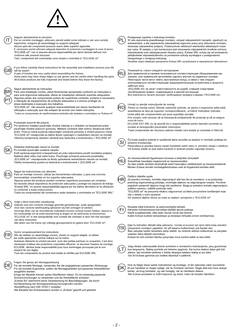

# Sequire attentamente le istruzioni

Per un corretto montaggio, utilizzare utensili adatti come indicato e, per una corretta ergonomia, eseguire gli assemblaggi su supporti adeguati.<br>Alcune parti dei componenti possono avere delle superfici appuntite.

E' necessario quindi utilizzare adeguati dispositivi di protezione e proteggere le zone di lavoro. "ECLISSE srl", non si assume alcuna responsabilità per danni derivati dall'uso non conforme alle presenti istruzioni.

Tutti i componenti del controtelaio sono testati e controllati in "ECLISSE srl"



I٦

If you follow carefully these instructions for the assembly and installation process your life will be easier! A pair of tressles are very useful when assembling the frames.

Some parts may have sharp edges so use gloves and be careful when handling the parts. All Eclisse products are fully inspected and tested before they leave the factory

### Seguir atentamente as instruções.

Para uma instalação correta, utilize ferramentas apropriadas conforme as instruções e, para uma ergonomia adequada, efetue as instalações utilizando suportes adequados. Algumas partes dos componentes podem ter superfícies cortantes, portanto é necessária a utilização de equipamentos de proteção adequados e é preciso proteger as áreas destinadas à execução dos trabalhos.

"ECLISSE srl", não assume qualquer responsabilidade por danos resultantes da utilização e execução que não estejam de acordo com estas instruções

Todos os componentes do caixilho/sistema embutido são testados e controlados na "Eclisse srl'

### Postupujte pozorně dle pokynů.

Pro správnou instalaci používejte vhodné nástroje a s ohledem na bezpečnost práce používejte vhodné pracovní pomůcky. Některé vyrobené části mohou obsahovat ostré presentante presenta provincia di contratto di contratto di controlle della controlla di provincia di provinci<br>Invivia Proto i e nutri e používat odpovídalici ochranné pomůcky a chránit pracovní místa. "ECLISSE srl" neodpovídá za žádné škody vyplývající z nedodržení návodu na montáž. Všechny komponenty stavební zárubně jsou testovány a kontrolovány v "ECLISSE srl".

## Dôsledne dodržiavajte návod na montáž.

Pri montáži používajte uvedené náradie.

"ECLISSE srl." nezodpovedá za škody spôsobené nedodržaním návodu na montáž. Všetky komponenty puzdra sú testované a kontrolované v "ECLISSE srl."

### Seguir las instrucciones con atención

Para un montaje correcto, utilizar las herramientas indicadas, y para una correcta funcionalidad, ensamblar en los soportes adecuados

Algunas partes del producto pueden contener superficies punzantes y/o cortantes. Se necesita utilizar dispositivos de protección adecuados y proteger los espacios de trabajo.<br>"Eclisse SRL" no asume responsabilidad alguna por los daños derivados en la utilización no conforme a estas instrucciones.

Todos los componentes del contramarco están testados y controlados en "ECLISSE SRL"

### Volgt u deze instructies nauwkeurig.

Gebruik voor een correcte montage geschikt gereedschap, zoals aangeraden. Voor een correcte werkhouding adviseren wij met schragen te werken. Sommige delen van de verschillende onderdelen kunnen scherpe kanten hebben, daarom is het noodzakelijk om de juiste bescherming te dragen en de werkruimte te beschermen. "ECLISSE srl" is niet aansprakelijk voor schade die ontstaan is door het niet opvolgen van deze instructies.

Alle delen van het frame zijn volledig geinspecteerd en getest door "ECLISSE srl".

### Suivre scrupuleusement les instructions

Afin de réaliser un assemblage correct, choisir un support adapté et utiliser<br>les outils appropriés comme indiqué sur la notice.

Quelques éléments du produit peuvent avoir des parties pointues ou coupantes, il est donc nécessaire d'utiliser des protections corporelles efficaces et sécuriser l'espace de montage. ECLISSE décline toute responsabilité pour tous dommages provoqués par le non respect de ces règles.

Tous les composants du produit sont testés et vérifiés par ECLISSE SRL.

### Folgen Sie genau der Montageanleitung

Für die korrekte Montage, verwenden Sie die angegebenen passenden Werkzeuge. Für die korrekte Ergonomie, sollten die Montagearbeiten auf passende Arbeitsflächen ausgeführt werden.

Einige der Bauteile können spitze Oberflächen haben. Es ist notwendig passende<br>Schutzvorrichtungen zu verwenden und die Arbeitsfläche schützen. "Eclisse Srl" übernimmt keine Verantwortung für Beschädigungen, die durch Nichtbeachtung der Montageanleitung hervorgerufen werden.

Wandöffnung nach DIN 18183-1 erstellen

Alle Bauteile des Einbaukastens wurden in "Eclisse" geprüft und getestet.



### Postępować zgodnie z instrukcją montażu.

W celu wykonania prawidłowego montażu, używać odpowiednich narzędzi, zgodnych ze wskazaniami, a dla zapewnienia odpowiedniej ergonomi pracy przy dokonaniu montażu<br>stosować odpowiednie podpory. Powierzchnia niektórych elementów składowych może być ostra. W związku z tym koniecznym jest stosowanie odpowiednich środków ochrony indywidualnej oraz zabezpieczenie obszaru pracy. Eclisse SRL uchyla się od poniesienia jakiejkolwiek odpowiedzialności za poniesione szkody wynikające z postępowania Antiguous concernations and points strong wynangied 2 postępowania<br>niezgodnego z niniejszą instrukcją.<br>Wszelkie części składowe asortymentu Eclisse SRL są testowane w wewnętrznym laboratorium.

Пожалуйста, строго следуйте инструкциям.



Для правильной установки пользоваться соответствующим оборудованием как .<br>указано, для правильной эргономики сделать монтаж на надежных основах. Некоторые части могут иметь заостренные концы, в связи с чем следует использоваться соответствующим предохранительным устройством и защитить пабочую зону.

рлээлулээлу.<br>«ECLISSE srl» не несет ответственности за ущерб, ставший следствием несоблюдения правил, содержащихся в данной инструкции. Все компоненты пенала проходят необходимую проверку в фирме «"ECLISSE srl».



Urmati cu atentie instructiunile de montai.

Pentru un montaj corect, folositi ustensile potrivite, iar pentru o ergonomie adecvată, asamblarea se face pe suporturi corespunzătoare, urmând metodele indicate. Unele părți ale componentelor pot avea suprafețe ascuțite.

Prin urmare, este necesar să se folosească echipamente de protecție și să se asigure zona de lucru.

ECLISSE EST SRL nu își asumă nici o responsabilitate pentru daunele survenite ca rezultat al nerespectării prezentelor instrucțiuni.

Toate componetele din structura cadrului metalic sunt testate și controlate in fabrică.



Če boste pazljivo prebrali in upoštevali dana navodila za sestavo in montažo podboja bo bistveno enostavneje. Priporočljiva je uporaba rokavic zaradi morebitnih ostrih robov in previdno rokujte z izdelkom.

Vsi Eclisse izdelki so pod stalno kontrolo in testirani preden zapustijo tovarno.



Az összeszrelésnél figyelmesen kövesse a beépítési útmutatót!









Za pravilnu montažu, koristite odgovarajući alat kao što je navedeno, a za postizanje pravilnog ergonomskog položaja, montirajte dijelove na odgovarajuće nosače. Površine<br>pojedinih sastavnih dijelova mogu biti zaoštrene. Stoga je potrebno koristiti odgovarajuću zaštitnu opremu i zaštititi područja rada.

"ECLISSE srl" ne preuzima nikakvu odgovornost za štete prouzročene korištenjem koje nije u skladu s ovim uputama.

Svi sastavni dijelovi okova za vrata su ispitani i provjereni u "ECLISSE srl"



Noudata näitä kokoamis- ja asennusohjeita tarkasti.



Kehysten kokoamisessa kannattaa käyttää anuna nukkeia



Eğer bu talimatları dikkatle takip ederseniz, montaj ve kurulum için işiniz daha kolay olacaktır.



Çerçevenin montajını yaparken, bir çift kasanın kullanılması çok faydalı olur. Bazı parçalar keskin kenarlara sahip olabilir, bu nedenle eldiven kullanılmalı ve parçaları tutarken daha dikkatli olunmalıdır Eclisse'nin tüm ürünleri fabrika çıkışından önce kontrol edildi ve test edildi.



Jeigu tiksliai vadovausitės šiomis surinkimo ir montavimo instrukcijomis, jūsų gyvenimas The Individual Control of the Arthur Communication Control of the Staktos dalys gali būti als lengvesnis. Stakta surinkite ant tinkamo pagrindo. Kai kurios staktos dalys gali būti aštrios, tad mūvėkite pirštines ir būkite Visi Srl Eclisse gaminiai yra visiškai išbandyti ir patikrinti.



Hvis du følger disse samle instruktioner og montage, vil din oplevelse være succesfuld. Et par handsker er meget nyttige, når du monterer rammen. Nogle dele kan have skarpe kanter, så brug handsker, og vær forsigtig, når du håndterer delene.<br>Alle Eclisse-produkter er fuldt inspiceret og testet, inden de forla

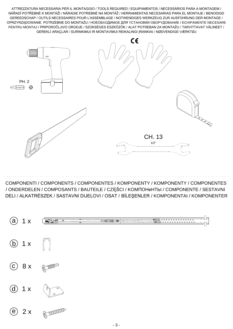ATTREZZATURA NECESSARIA PER IL MONTAGGIO / TOOLS REQUIRED / EQUIPAMENTOS / NECESSÁRIOS PARA A MONTAGEM / NÁŘADÍ POTŘEBNÉ K MONTÁŽI / NÁRADIE POTREBNÉ NA MONTÁŽ / HERRAMIENTAS NECESARIAS PARA EL MONTAJE / BENODIGD GEREEDSCHAP / OUTILS NECESSAIRES POUR L'ASSEMBLAGE / NOTWENDIGES WERKZEUG ZUR AUSFÜHRUNG DER MONTAGE / OPRZYRZĄDOWANIE POTRZEBNE DO MONTAŻU / НОЕОБХОДИМОЕ ДЛЯ ҮСТАНОВКИ ОБОРҮДОВАНИЕ / ECHIPAMENTE NECESARE PENTRU MONTAJ / PRIPOROČLJIVO ORODJE / SZÜKSÉGES ESZKÖZÖK / ALAT POTREBAN ZA MONTAŽU / TARVITTAVAT VÄLINEET / GEREKLİ ARAÇLAR / SURINKIMUI IR MONTAVIMUI REIKALINGI JRANKIAI / NØDVENDIGE VÆRKTØJ



COMPONENTI / COMPONENTS / COMPONENTES / KOMPONENTY / KOMPONENTY / COMPONENTES / ONDERDELEN / COMPOSANTS / BAUTEILE / CZĘŚCI / KOMNOHeHTLI / COMPONENTE / SESTAVNI DELI / ALKATRÉSZEK / SASTAVNI DIJELOVI / OSAT / BİLEŞENLER / KOMPONENTAI / KOMPONENTER

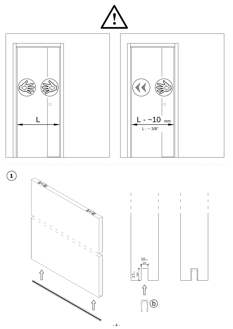



- 4 -

 $\begin{matrix} \uparrow \\ \downarrow \end{matrix}$ 

 $\begin{picture}(20,5) \put(0,0){\line(1,0){155}} \put(15,0){\line(1,0){155}} \put(15,0){\line(1,0){155}} \put(15,0){\line(1,0){155}} \put(15,0){\line(1,0){155}} \put(15,0){\line(1,0){155}} \put(15,0){\line(1,0){155}} \put(15,0){\line(1,0){155}} \put(15,0){\line(1,0){155}} \put(15,0){\line(1,0){155}} \put(15,0){\line(1,0){155}} \put$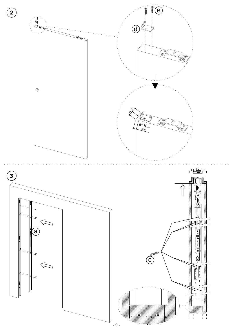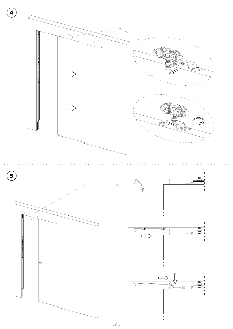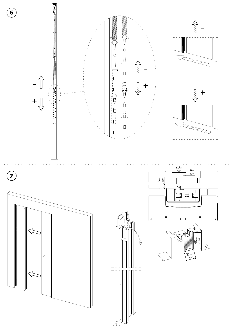